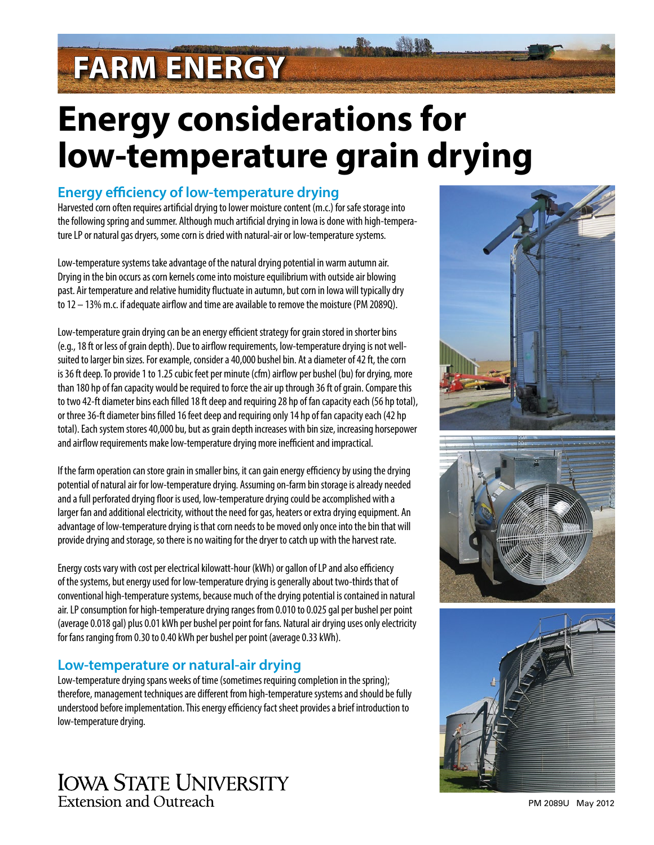# **FARM ENERGY**

## **Energy considerations for low-temperature grain drying**

#### **Energy efficiency of low-temperature drying**

Harvested corn often requires artificial drying to lower moisture content (m.c.) for safe storage into the following spring and summer. Although much artificial drying in Iowa is done with high-temperature LP or natural gas dryers, some corn is dried with natural-air or low-temperature systems.

Low-temperature systems take advantage of the natural drying potential in warm autumn air. Drying in the bin occurs as corn kernels come into moisture equilibrium with outside air blowing past. Air temperature and relative humidity fluctuate in autumn, but corn in Iowa will typically dry to 12 – 13% m.c. if adequate airflow and time are available to remove the moisture (PM 2089Q).

Low-temperature grain drying can be an energy efficient strategy for grain stored in shorter bins (e.g., 18 ft or less of grain depth). Due to airflow requirements, low-temperature drying is not wellsuited to larger bin sizes. For example, consider a 40,000 bushel bin. At a diameter of 42 ft, the corn is 36 ft deep. To provide 1 to 1.25 cubic feet per minute (cfm) airflow per bushel (bu) for drying, more than 180 hp of fan capacity would be required to force the air up through 36 ft of grain. Compare this to two 42-ft diameter bins each filled 18 ft deep and requiring 28 hp of fan capacity each (56 hp total), or three 36-ft diameter bins filled 16 feet deep and requiring only 14 hp of fan capacity each (42 hp total). Each system stores 40,000 bu, but as grain depth increases with bin size, increasing horsepower and airflow requirements make low-temperature drying more inefficient and impractical.

If the farm operation can store grain in smaller bins, it can gain energy efficiency by using the drying potential of natural air for low-temperature drying. Assuming on-farm bin storage is already needed and a full perforated drying floor is used, low-temperature drying could be accomplished with a larger fan and additional electricity, without the need for gas, heaters or extra drying equipment. An advantage of low-temperature drying is that corn needs to be moved only once into the bin that will provide drying and storage, so there is no waiting for the dryer to catch up with the harvest rate.

Energy costs vary with cost per electrical kilowatt-hour (kWh) or gallon of LP and also efficiency of the systems, but energy used for low-temperature drying is generally about two-thirds that of conventional high-temperature systems, because much of the drying potential is contained in natural air. LP consumption for high-temperature drying ranges from 0.010 to 0.025 gal per bushel per point (average 0.018 gal) plus 0.01 kWh per bushel per point for fans. Natural air drying uses only electricity for fans ranging from 0.30 to 0.40 kWh per bushel per point (average 0.33 kWh).

### **Low-temperature or natural-air drying**

Low-temperature drying spans weeks of time (sometimes requiring completion in the spring); therefore, management techniques are different from high-temperature systems and should be fully understood before implementation. This energy efficiency fact sheet provides a brief introduction to low-temperature drying.









PM 2089U May 2012